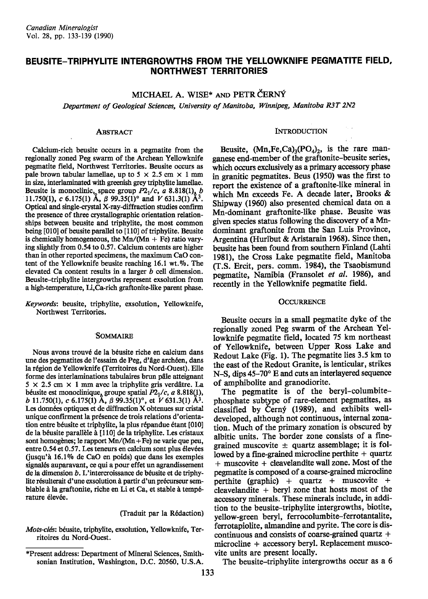# BEUSITE-TRIPHYLITE INTERGROWTHS FROM THE YELLOWKNIFE PEGMATITE FIELD, **NORTHWEST TERRITORIES**

MICHAEL A. WISE\* AND PETR CERNÝ Department of Geological Sciences, University of Manitoba, Winnipeg, Manitoba R3T 2N2

# **ABSTRACT**

Calcium-rich beusite occurs in a pegmatite from the regionally zoned Peg swarm of the Archean Yellowknife pegmatite field, Northwest Territories. Beusite occurs as pale brown tabular lamellae, up to 5  $\times$  2.5 cm  $\times$  1 mm in size, interlaminated with greenish grey triphylite lamellae. Beusite is monoclinic, space group  $P2_1/c$ , a 8.818(1), b 11.750(1), c 6.175(1) Å,  $\beta$  99.35(1)° and V 631.3(1) Å<sup>3</sup>. Optical and single-crystal X-ray-diffraction studies confirm the presence of three crystallographic orientation relationships between beusite and triphylite, the most common being [010] of beusite parallel to [110] of triphylite. Beusite is chemically homogeneous, the  $Mn/(Mn + Fe)$  ratio varying slightly from 0.54 to 0.57. Calcium contents are higher than in other reported specimens, the maximum CaO content of the Yellowknife beusite reaching  $16.1$  wt. %. The elevated Ca content results in a larger  $b$  cell dimension. Beusite-triphylite intergrowths represent exsolution from a high-temperature, Li,Ca-rich graftonite-like parent phase.

Keywords: beusite, triphylite, exsolution, Yellowknife, Northwest Territories.

### **SOMMAIRE**

Nous avons trouvé de la béusite riche en calcium dans une des pegmatites de l'essaim de Peg, d'âge archéen, dans la région de Yellowknife (Territoires du Nord-Ouest). Elle forme des interlaminations tabulaires brun pâle atteignant  $5 \times 2.5$  cm  $\times$  1 mm avec la triphylite gris verdâtre. La béusite est monoclinique, groupe spatial  $P2_1/c$ , a 8.818(1), b 11.750(1), c 6.175(1) A,  $\beta$  99.35(1)°, et  $\tilde{V}$  631.3(1) A<sup>3</sup>. Les données optiques et de diffraction X obtenues sur cristal unique confirment la présence de trois relations d'orientation entre béusite et triphylite, la plus répandue étant [010] de la béusite parallèle à [110] de la triphylite. Les cristaux sont homogènes; le rapport Mn/(Mn+Fe) ne varie que peu, entre 0.54 et 0.57. Les teneurs en calcium sont plus élevées (jusqu'à 16.1% de CaO en poids) que dans les exemples signalés auparavant, ce qui a pour effet un agrandissement de la dimension b. L'intercroissance de béusite et de triphylite résulterait d'une exsolution à partir d'un précurseur semblable à la graftonite, riche en Li et Ca, et stable à température élevée.

(Traduit par la Rédaction)

Mots-clés: béusite, triphylite, exsolution, Yellowknife, Territoires du Nord-Ouest.

### **INTRODUCTION**

Beusite,  $(Mn, Fe, Ca)<sub>3</sub>(PO<sub>4</sub>)<sub>2</sub>$ , is the rare manganese end-member of the graftonite-beusite series, which occurs exclusively as a primary accessory phase in granitic pegmatites. Beus (1950) was the first to report the existence of a graftonite-like mineral in which Mn exceeds Fe. A decade later, Brooks & Shipway (1960) also presented chemical data on a Mn-dominant graftonite-like phase. Beusite was given species status following the discovery of a Mndominant graftonite from the San Luis Province, Argentina (Hurlbut & Aristarain 1968). Since then, beusite has been found from southern Finland (Lahti 1981), the Cross Lake pegmatite field, Manitoba (T.S. Ercit, pers. comm. 1984), the Tsaobismund pegmatite, Namibia (Fransolet et al. 1986), and recently in the Yellowknife pegmatite field.

### **OCCURRENCE**

Beusite occurs in a small pegmatite dyke of the regionally zoned Peg swarm of the Archean Yellowknife pegmatite field, located 75 km northeast of Yellowknife, between Upper Ross Lake and Redout Lake (Fig. 1). The pegmatite lies 3.5 km to the east of the Redout Granite, is lenticular, strikes N-S, dips 45-70° E and cuts an interlayered sequence of amphibolite and granodiorite.

The pegmatite is of the beryl-columbitephosphate subtype of rare-element pegmatites, as classified by Cerný (1989), and exhibits welldeveloped, although not continuous, internal zonation. Much of the primary zonation is obscured by albitic units. The border zone consists of a finegrained muscovite  $\pm$  quartz assemblage; it is followed by a fine-grained microcline perthite + quartz + muscovite + cleavelandite wall zone. Most of the pegmatite is composed of a coarse-grained microcline perthite (graphic) + quartz + muscovite + cleavelandite  $+$  beryl zone that hosts most of the accessory minerals. These minerals include, in addition to the beusite-triphylite intergrowths, biotite, vellow-green beryl, ferrocolumbite-ferrotantalite, ferrotapiolite, almandine and pyrite. The core is discontinuous and consists of coarse-grained quartz  $+$ microcline + accessory beryl. Replacement muscovite units are present locally.

The beusite-triphylite intergrowths occur as a 6

<sup>\*</sup>Present address: Department of Mineral Sciences, Smithsonian Institution, Washington, D.C. 20560, U.S.A.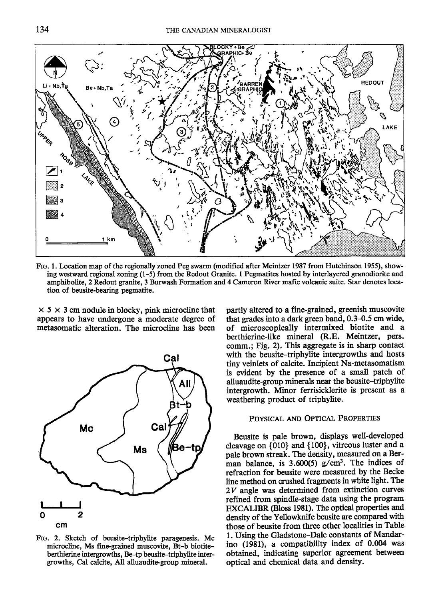

Ftc. l. Location map of the regionally zoned Peg swarm (modified after Meintzer 1987 from Hutchinson 1955), showing westward regional zoning (1–5) from the Redout Granite. 1 Pegmatites hosted by interlayered granodiorite and amphibolite, 2 Redout ganite, 3 Burwash Formation and 4 Cameron River mafic volcanic suite. Star denotes location of beusite-bearing pegmatite.

 $\times$  5  $\times$  3 cm nodule in blocky, pink microcline that appears to have undergone a moderate degree of metasomatic alteration. The microcline has been



FIG. 2. Sketch of beusite-triphylite paragenesis. Mc microcline, Ms fine-grained muscovite, Bt-b biotiteberthierine intergrowths, Be-tp beusite-triphylite intergrowths, Cal calcite, All alluaudite-group mineral.

partly altered to a fine-grained, greenish muscovite that grades into a dark green band, 0.3-0.5 cm wide, of microscopically intermixed biotite and a berthierine-like mineral (R.E. Meintzer, pers. comm.; Fig. 2). This aggregate is in sharp contact with the beusite-triphylite intergrowths and hosts tiny veinlets of calcite. Incipient Na-metasomatism is evident by the presence of a small patch of alluaudite-group minerals near the beusite-triphylite intergrowth. Minor ferrisicklerite is present as a weathering product of triphylite.

# PHYSICAL AND OPTICAL PROPERTIES

Beusite is pale brown, displays well-developed cleavage on {010} and {100}, vitreous luster and a pale brown streak. The density, measured on a Berman balance, is  $3.600(5)$  g/cm<sup>3</sup>. The indices of refraction for beusite were measwed by the Becke line method on crushed fragments in white lieht. The 2V angle was determined from extinction curves refined from spindle-stage data using the program EXCALIBR (Bloss l98l). The optical propertis and density of the Yellowknife beusite are compared with those of beusite from three other localities in Table 1. Using the Gladstone-Dale constants of Mandarino (1981), a compatibility index of 0.004 was obtained, indicating superior agreement between optical and chemical data and density.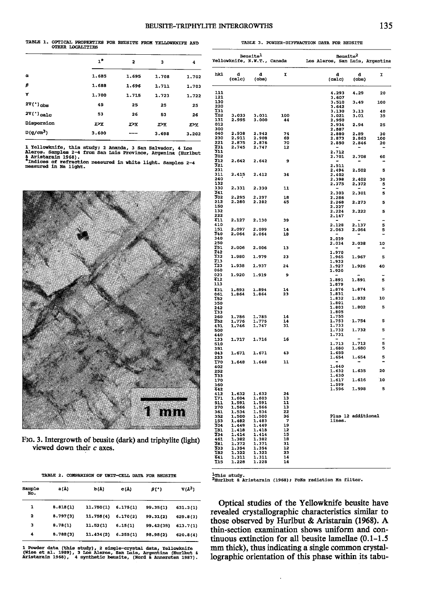### BEUSITE-TRIPHYLITE INTERGROWTHS

# TABLE 1. OPTICAL PROPERTIES FOR BEUSITE FROM YELLOWKNIFE AND OTHER LOCALITIES

|              | $\mathbf{1}^{\ast}$ | 2     | 3             | 4     |
|--------------|---------------------|-------|---------------|-------|
| $\alpha$     | 1.685               | 1.695 | 1.708         | 1.702 |
| β            | 1.688               | 1.696 | 1.711         | 1.703 |
| ۷            | 1.700               | 1.715 | 1.723         | 1.722 |
| $2V(°)$ obs  | 45                  | 25    | 25            | 25    |
| $2V(')$ calc | 53                  | 26    | 53            | 26    |
| Dispersion   | r>v                 | X>Y   | <b>E&gt;Y</b> | r>⊻   |
| $D(g/cm^3)$  | 3.600               | $ -$  | 3.698         | 3.202 |

1 Yellowknife, this study; 2 Amanda, 3 San Salvador, 4 Los<br>Aleros. Samples 2-4 from San Lais Province, Argenina (Huribut<br>5 Aristarain 1968).<br>"Indices of refraction measured in white light. Samples 2-4<br>measured in Na light.



FIG. 3. Intergrowth of beusite (dark) and triphylite (light) viewed down their  $c$  axes.

|  | TABLE 2. COMPARISON OF UNIT-CELL DATA FOR BEUSITE |  |  |  |
|--|---------------------------------------------------|--|--|--|
|  |                                                   |  |  |  |

| Sample<br>No. | a (Å)    | b(Å)      | $C(\mathbb{A})$ | B(1)       | $V(\lambda^3)$ |
|---------------|----------|-----------|-----------------|------------|----------------|
| 1             | 8.818(1) | 11.750(1) | 6.175(1)        | 99.35(1)   | 631.3(1)       |
| 2             | 8.797(3) | 11.758(4) | 6.170(2)        | 99.31(2)   | 629.8(3)       |
| з             | 8.78(1)  | 11.52(1)  | 6.15(1)         | 99.42 (35) | 613.7(1)       |
| 4             | 8.788(3) | 11.434(2) | 6.255(1)        | 98.98(2)   | 620.8(4)       |

l Powder data (this study), 2 single-crystal data, Yellowknife<br>(Wise et al. 1989), 3 Los Alerce, San Luis, Argentina (Hurlbut &<br>Aristarain 1968), 4 synthetic beusite, (Nord & Annersten 1987).

|                         |                | Beusite <sup>1</sup> | Yellowknife, N.W.T., Canada | <b>Beusite</b><br>Los Aleros, San Luis, Argentina |                                   |                     |
|-------------------------|----------------|----------------------|-----------------------------|---------------------------------------------------|-----------------------------------|---------------------|
| hkl                     | d<br>(calc)    | đ<br>(obs)           | T.                          | d<br>(calc)                                       | d<br>(obs)                        | π                   |
| 111                     |                |                      |                             | 4.293                                             | 4.29                              | 20                  |
| 121<br>130              |                |                      |                             | 3.607                                             |                                   |                     |
| 220                     |                |                      |                             | 3.510<br>3.642                                    | 3.49                              | 100                 |
| <b>T31</b>              |                |                      |                             | 3.130                                             | 3.13                              | 40                  |
| T02                     | 3.033<br>2.995 | 3.031                | 100                         | 3.021                                             | 3.01                              | 35                  |
| 131<br>012              |                | 3.000                | 44                          | 2,950                                             |                                   |                     |
| 300                     |                |                      |                             | 2.934<br>2.887                                    | 2.94                              | 25                  |
| 040                     | 2.938          | 2.942                | 74                          | 2,880                                             | 2.89                              | 30                  |
| 230                     | 2.911          | 2.908                | 69                          | 2.873                                             | 2.863                             | 100                 |
| 221<br>$\overline{231}$ | 2.875<br>2.745 | 2.876<br>2.747       | 70<br>12                    | 2.850                                             | 2.846                             | 20                  |
| 311                     |                |                      |                             | 2.712                                             |                                   |                     |
| 202                     |                |                      |                             | 2.701                                             | 2.708                             | 60                  |
| 212<br>321              | 2.642          | 2.642                | - 9                         |                                                   | $\overline{\phantom{0}}$          |                     |
| 231                     |                |                      |                             | 2.511<br>2.494                                    | 2.502                             | 5                   |
| 311                     | 2.415          | 2.412                | 34                          | 2.402                                             |                                   |                     |
| 240                     |                |                      |                             | 2.398                                             | 2,402                             | 30                  |
| 132<br>330              | 2.331          | 2.330                | 11                          | 2.375                                             | 2.372                             | 5<br>$\overline{a}$ |
| 241                     |                |                      |                             | 2.303                                             | 2.301                             | 5                   |
| 302                     | 2.295          | 2.297                | 18                          | 2.286                                             |                                   |                     |
| 212                     | 2.280          | 2.282                | 45                          | 2.268                                             | 2.273                             | 5                   |
| 150<br>132              |                |                      |                             | 2.227                                             |                                   |                     |
| 222                     |                |                      |                             | 2.224<br>2.147                                    | 2.222                             | 5                   |
| 411                     | 2.127          | 2.130                | 39                          |                                                   |                                   |                     |
| 410                     |                |                      |                             | 2.128                                             | 2.137                             | 5                   |
| 151<br>340              | 2.097<br>2.064 | 2.099<br>2.064       | 14<br>18                    | 2.063                                             | 2.064                             | 5<br>٠              |
| 340                     |                |                      |                             | 2.039                                             |                                   |                     |
| 250                     |                |                      |                             | 2.034                                             | 2.038                             | 10                  |
| 251                     | 2.006          | 2.006                | 13                          |                                                   | ٠                                 |                     |
| Z42<br>332              | 1.980          | 1.979                | 23                          | 1.970<br>1.965                                    | 1.967                             | 5                   |
| 213                     |                |                      |                             | 1.932                                             |                                   |                     |
| T23                     | 1.938          | 1.937                | 24                          | 1.927                                             | 1.926                             | 40                  |
| 060<br>023              | 1.920          | 1.919                | - 9                         | 1.920                                             |                                   |                     |
| 412                     |                |                      |                             | 1.891                                             | 1.891                             | 5                   |
| 113                     |                |                      |                             | 1.879                                             |                                   |                     |
| 431                     | 1.893          | 1.894                | 14                          | 1.876                                             | 1.874                             | 5                   |
| 061                     | 1.864          | 1.864                | 23                          | 1.831<br>1.832                                    | 1.832                             | 10                  |
| <b>T52</b><br>350       |                |                      |                             | 1.801                                             |                                   |                     |
| 242                     |                |                      |                             | 1.803                                             | 1.802                             | 吊                   |
| <b>T33</b>              |                |                      |                             | 1.805                                             |                                   |                     |
| 260<br>252              | 1.786          | 1.785<br>1.775       | 14<br>14                    | 1.755<br>1.753                                    | 1.754                             | 5                   |
| 431                     | 1.776<br>1.746 | 1.747                | 31                          |                                                   |                                   |                     |
| 500                     |                |                      |                             | $\frac{1.733}{1.732}$                             | 1.732                             | 5                   |
| 440<br>133              |                | 1.716                | 16                          | 1.731                                             |                                   |                     |
| 510                     | 1.717          |                      |                             | 1.713                                             | 1.712                             | 5                   |
| 351                     |                |                      |                             | 1.680                                             | 1.680                             | 5                   |
| 043                     | 1.671          | 1.671                | 43                          | 1.655                                             |                                   |                     |
| 223<br>T70              | 1.648          | 1.648                | 11                          | 1.654                                             | 1.654<br>$\overline{\phantom{a}}$ | 5                   |
| 402                     |                |                      |                             | 1.640                                             |                                   |                     |
| 252                     |                |                      |                             | 1.632                                             | 1.635                             | 20                  |
| 333<br>170              |                |                      |                             | 1.630<br>1.617                                    | 1.616                             | ${\bf 10}$          |
| 360                     |                |                      |                             | 1.599                                             |                                   |                     |
| 442                     |                |                      |                             | 1.596                                             | 1,598                             | 5                   |
| 412                     | 1.632          | 1.632                | 24                          |                                                   |                                   |                     |
| <b>T71</b><br>511       | 1.604<br>1.591 | 1.603<br>1.591       | 13<br>11                    |                                                   |                                   |                     |
| 270                     | 1.566          | 1.566                | 13                          |                                                   |                                   |                     |
| 361                     | 1.534          | 1.534                | 22                          |                                                   |                                   |                     |
| 352<br>153              | 1.500<br>1.482 | 1.500<br>1.483       | 36<br>7                     | Plus 12 additional<br>lines.                      |                                   |                     |
| 304                     | 1.449          | 1.449                | 19                          |                                                   |                                   |                     |
| $\frac{181}{234}$       | 1.418          | 1.418                | 12                          |                                                   |                                   |                     |
|                         | 1.414          | 1.414                | 15                          |                                                   |                                   |                     |
| 461<br>281              | 1.382<br>1.372 | 1.382                | 18<br>31                    |                                                   |                                   |                     |
| 533                     | 1.354          | 1.371<br>1.354       | 12                          |                                                   |                                   |                     |
| <b>T82</b>              | 1.322          | 1.322                | 23                          |                                                   |                                   |                     |
| 641<br>T15              | 1.311          | 1.311                | 14<br>14                    |                                                   |                                   |                     |
|                         | 1,228          | 1.228                |                             |                                                   |                                   |                     |

TABLE 3. POWDER-DIFFRACTION DATA FOR BEUSITE

<sup>1</sup>This study.<br><sup>2</sup>Hurlbut & Aristarain (1968); FeKa radiation Mn filter.

Optical studies of the Yellowknife beusite have revealed crystallographic characteristics similar to those observed by Hurlbut & Aristarain (1968). A thin-section examination shows uniform and continuous extinction for all beusite lamellae  $(0.1-1.5)$ mm thick), thus indicating a single common crystallographic orientation of this phase within its tabu-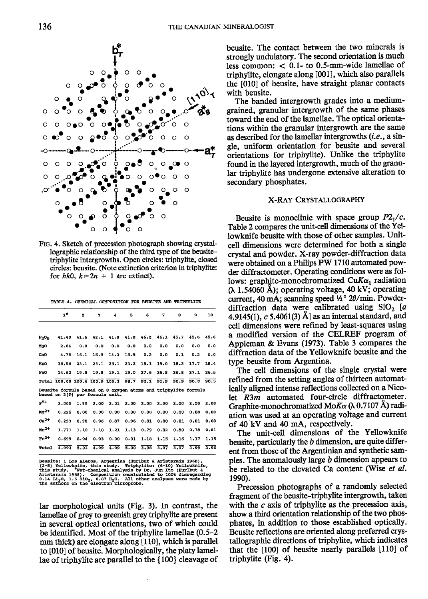

TABLE 4. CHEMICAL COMPOSITION FOR BEUSITE AND TRIPHYLITE

|           | 1"                                                                                                | $\overline{a}$ | 3    | 4    | Б    | 6    | 7    | 8    | 9    | 10   |
|-----------|---------------------------------------------------------------------------------------------------|----------------|------|------|------|------|------|------|------|------|
| $P_2O5$   | 41.40                                                                                             | 41.6           | 42.1 | 41.8 | 41.0 | 46.2 | 46.1 | 45.7 | 45.6 | 45.6 |
| MgO       | 2.64                                                                                              | 0.0            | 0.0  | 0.0  | 0.0  | 0.0  | 0.0  | 0.0  | 0.0  | 0.0  |
| CaO       | 4.78                                                                                              | 16.1           | 15.9 | 14.3 | 15.5 | 0.2  | 0.0  | 0.1  | 0.2  | 0.0  |
| MnO       | 36.56                                                                                             | 23.1           | 23.1 | 25.1 | 23.2 | 18.1 | 19.0 | 18.3 | 17.7 | 18.4 |
| Fe0       | 14.62                                                                                             | 19.8           | 19.8 | 19.1 | 19.0 | 27.6 | 26.8 | 26.8 | 27.1 | 26.5 |
|           | Total 100.00 100.6 100.9 100.3                                                                    |                |      |      | 98.7 | 92.1 | 91.9 | 90.9 | 90.0 | 90.5 |
|           | Beusite formula based on 8 oxygen atoms and triphylite formula<br>based on 2(P) per formula unit. |                |      |      |      |      |      |      |      |      |
| $p^{5+}$  | 2.005                                                                                             | 1.99           | 2.00 | 2.01 | 2.00 | 2.00 | 2.00 | 2.00 | 2.00 | 2.00 |
| $Mg^{2+}$ | 0.225                                                                                             | 0.00           | 0.00 | 0.00 | 0.00 | 0.00 | 0.00 | 0.00 | 0.00 | 0.00 |
| $ca2+$    | 0.293                                                                                             | 0.98           | 0.96 | 0.87 | 0.96 | 0.01 | 0.00 | 0.01 | 0.01 | 0.00 |
|           |                                                                                                   |                |      |      |      |      |      |      |      |      |
| $mn^{2+}$ | 1.771                                                                                             | 1.10           | 1.10 | 1.21 | 1.13 | 0.79 | 0.82 | 0.80 | 0.78 | 0.81 |
| $Fe2+$    | 0.699                                                                                             | 0.94           | 0.93 | 0.90 | 0.91 | 1.18 | 1.15 | 1.16 | 1.17 | 1.15 |

usite: 1 Los Aleros, Argentina (Hurlbut & Aristarain 1968),<br>-5) Yellowknife, this study. Triphylite: (6-10) Yellowknife,<br>is study. "Wet-Chemical analysis by Dr. Jun Ito (Hurlbut &<br>istarain 1968). Composition recalculated t Aristarain 1968) 1.5 sio<sub>2</sub>, 0.87 H<sub>2</sub>O. All<br>3 on the electron micropre All other analy

lar morphological units (Fig. 3). In contrast, the lamellae of grey to greenish grey triphylite are present in several optical orientations, two of which could be identified. Most of the triphylite lamellae (0.5–2) mm thick) are elongate along [110], which is parallel to [010] of beusite. Morphologically, the platy lamellae of triphylite are parallel to the  $\{100\}$  cleavage of

beusite. The contact between the two minerals is strongly undulatory. The second orientation is much less common:  $< 0.1$ - to 0.5-mm-wide lamellae of triphylite, elongate along [001], which also parallels the [010] of beusite, have straight planar contacts with beusite.

The banded intergrowth grades into a mediumgrained, granular intergrowth of the same phases toward the end of the lamellae. The optical orientations within the granular intergrowth are the same as described for the lamellar intergrowths (*i.e.*, a single, uniform orientation for beusite and several orientations for triphylite). Unlike the triphylite found in the layered intergrowth, much of the granular triphylite has undergone extensive alteration to secondary phosphates.

### X-RAY CRYSTALLOGRAPHY

Beusite is monoclinic with space group  $P2_1/c$ . Table 2 compares the unit-cell dimensions of the Yellowknife beusite with those of other samples. Unitcell dimensions were determined for both a single crystal and powder. X-ray powder-diffraction data were obtained on a Philips PW 1710 automated powder diffractometer. Operating conditions were as follows: graphite-monochromatized CuK $\alpha_1$  radiation ( $\lambda$  1.54060 Å); operating voltage, 40 kV; operating current, 40 mA; scanning speed ½° 20/min. Powderdiffraction data were calibrated using  $SiO<sub>2</sub>$  [a 4.9145(1),  $c$  5.4061(3) Å] as an internal standard, and cell dimensions were refined by least-squares using a modified version of the CELREF program of Appleman & Evans (1973). Table 3 compares the diffraction data of the Yellowknife beusite and the type beusite from Argentina.

The cell dimensions of the single crystal were refined from the setting angles of thirteen automatically aligned intense reflections collected on a Nicolet  $R3m$  automated four-circle diffractometer. Graphite-monochromatized Mo $K\alpha$  ( $\lambda$  0.7107 Å) radiation was used at an operating voltage and current of 40 kV and 40 mA, respectively.

The unit-cell dimensions of the Yellowknife beusite, particularly the b dimension, are quite different from those of the Argentinian and synthetic samples. The anomalously large  $b$  dimension appears to be related to the elevated Ca content (Wise et al. 1990).

Precession photographs of a randomly selected fragment of the beusite-triphylite intergrowth, taken with the  $c$  axis of triphylite as the precession axis, show a third orientation relationship of the two phosphates, in addition to those established optically. Beusite reflections are oriented along preferred crystallographic directions of triphylite, which indicates that the [100] of beusite nearly parallels [110] of triphylite (Fig. 4).

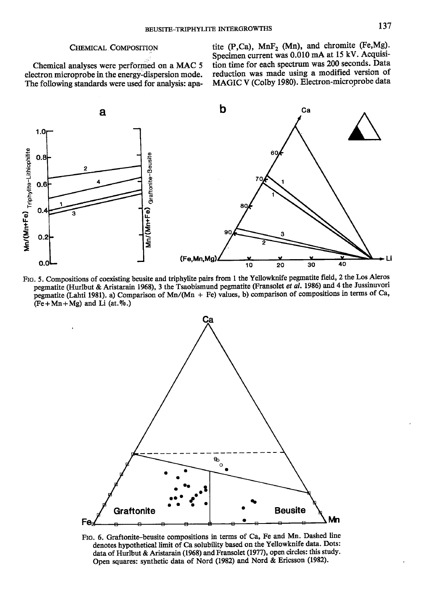# CHEMICAL COMPOSITION

Chemical analyses were performed on a MAC 5 electron microprobe in the energy-dispersion mode. The following standards were used for analysis: apatite (P,Ca),  $MnF_2$  (Mn), and chromite (Fe,Mg). Specimen current was 0.010 mA at 15 kV. Acquisition time for each spectrum was 200 seconds. Data reduction was made using a modified version of MAGIC V (Colby 1980). Electron-microprobe data







FIG. 6. Graftonite-beusite compositions in terms of Ca, Fe and Mn. Dashed line denotes hypothetical limit of Ca solubility based onthe Yellowknife data. Dots: data of Hurlbut & Aristarain (1968) and Fransolet (1977), open circles: this study. Open squares: synthetic data of Nord (1982) and Nord & Ericsson (1982).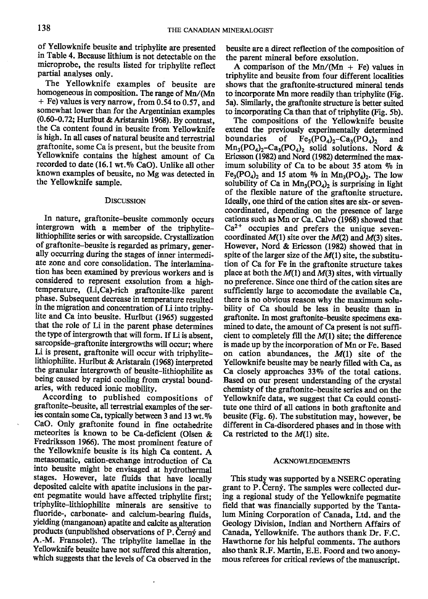of Yellowknife beusite and triphylite are presented in Table 4. Because lithium is not detectable on the microprobe, the results listed for triphylite reflect partial analyses only.

The Yellowknife examples of beusite are homogeneous in composition. The range of Mn/(Mn + Fe) values is very narrow, from 0.54 to 0.52, and somewhat lower than for the Argentinian examples (0.60-0.72; Hurlbut & Aristarain 1968). By contrast, the Ca content found in beusite from Yellowknife is high. In all cases of natural beusite and terrestrial graftonite, some Ca is present, but the beusite from Yellowknife contains the highest amount of Ca recorded to date (16.1 wt. $%$  CaO). Unlike all other known examples of beusite, no Mg was detected in the Yellowknife sample.

### DISCUSSION

In nature, graftonite-beusite commonly occurs intergrown with a member of the triphylitelithiophilite series or with sarcopside. Crystallization of graftonite-beusite is regarded as primary, generally occurring during the stages of inner intermediate zone and core consolidation. The interlamination has been examined by previous workers and is considered to represent exsolution from a hightemperature, (Li,Ca)-rich graftonite-like parent phase. Subsequent decrease in temperature resulted in the migration and concentration of Li into triphylite and Ca into beusite. Hurlbut (1965) suggested that the role of Li in the parent phase determines the type of intergrowth that will form. If Li is absent, sarcopside-graftonite intergrowths will occur; where Li is present, graftonite will occur with triphylitelithiophilite. Hurlbut & Aristarain (1968) interpreted the granular intergrowth of beusite-lithiophilite as being caused by rapid cooling from crystal boundaries, with reduced ionic mobility.

According to published compositions of graftonite-beusite, all terrestrial examples of the series contain some Ca, typically between 3 and 13 wt. $%$ CaO. Only graftonite found in fine octahedrite meteorites is known to be Ca-deficient (Olsen & Fredriksson 1966). The most prominent feature of the Yellowknife beusite is its high Ca content. A metasomatic, cation-exchange introduction of Ca into beusite might be envisaged at hydrothermal stages. However, late fluids that have locally deposited calcite with apatite inclusions in the parent pegmatite would have affected triphylite first; triphylite-lithiophilite minerals are sensitive to flloride-, carbonate- and calcium-bearing fluids, yielding (manganoan) apatite and calcite as alteration products (unpublished observations of P. Cerný and A.-M. Fransolet). The triphylite lamellae in the Yellowknife beusite have not suffered this alteration, which suggests that the levels of Ca observed in the

beusite are a direst reflection of the composition of the parent mineral before exsolution.

A comparison of the Mn/(Mn + Fe) values in triphylite and beusite from four different localities shows that the graftonite-structured mineral tends to incorporate Mn more readily than triphylite (Fig. 5a). Similarly, the graftonite structure is befter suited to incorporating Ca than that of triphylite (Fig. 5b).

The compositions of the Yellowknife beusite extend the previously experimentally determined<br>boundaries of  $Fe_3(PO_A)$ , -Ca<sub>1</sub>(PO<sub>4</sub>), and  $Fe<sub>3</sub>(PO<sub>4</sub>)<sub>2</sub>-Ca<sub>3</sub>(PO<sub>4</sub>)<sub>2</sub>$  and  $Mn_3(PO_4)_2-Cn_3(PO_4)_2$  solid solutions. Nord & Ericsson (1982) and Nord (1982) determined the maximum solubility of Ca to be about 35 atom % in  $Fe<sub>3</sub>(PO<sub>4</sub>)<sub>2</sub>$  and 15 atom % in Mn<sub>3</sub> $(PO<sub>4</sub>)<sub>2</sub>$ . The low solubility of Ca in  $Mn_3(PO_4)_2$  is surprising in light of the flexible nature of the graftonite structure. Ideally, one third of the cation sites are six- or sevencoordinated, depending on the presence of large cations such as Mn or Ca. Calvo (1968) showed that  $Ca<sup>2+</sup>$  occupies and prefers the unique sevencoordinated  $M(1)$  site over the  $M(2)$  and  $M(3)$  sites. However, Nord & Ericsson (1982) showed that in spite of the larger size of the  $M(1)$  site, the substitution of Ca for Fe in the graftonite structure takes place at both the  $M(1)$  and  $M(3)$  sites, with virtually no preference. Since one third of the cation sites are sufficiently large to accomodate the available Ca, there is no obvious reason why the maximum solubility of Ca should be less in beusite than in graftonite. In most graftonite-beusite specimens examined to date, the amount of Ca present is not sufficient to completely fill the  $M(1)$  site; the difference is made up by the incorporation of Mn or Fe. Based on cation abundances, the  $M(1)$  site of the Yellowknife beusite may be nearly filled with Ca, as Ca closely approaches 33% of the total cations. Based on our present understanding of the crystal chemisty of the graftonite-beusite series and on the Yellowknife data, we suggest that Ca could constitute one third of all cations in both graftonite and beusite (Fig. 6). The substitution may, however, be different in Ca-disordered phases and in those with Ca restricted to the  $M(1)$  site.

### ACKNOWLEDGEMENTS

This study was supported by a NSERC operating grant to P. Cerný. The samples were collected during a regional study of the Yellowknife pegmatite field that was financially supported by the Tantalum Mining Corporation of Canada, Ltd. and the Geology Division, Indian and Northern Affairs of Canada, Yellowknife. The authors thank Dr. F.C. Hawthorne for his helpful comments. The authors also thank R.F. Martin, E.E. Foord and two anonymous referees for critical reviews of the manuscript.